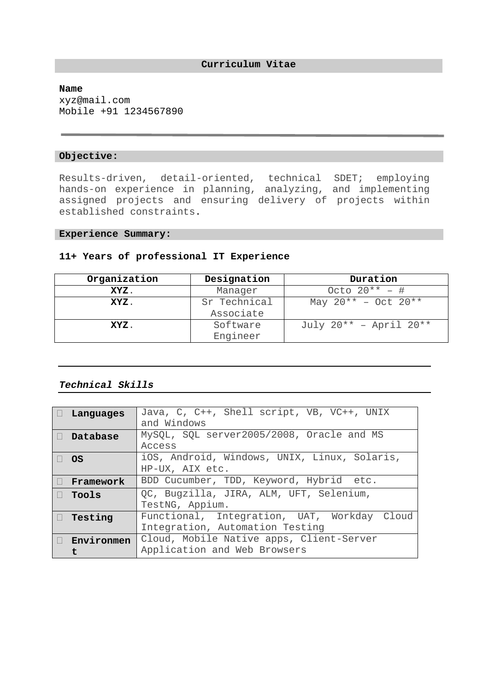#### **Name**

xyz@mail.com Mobile +91 1234567890

#### **Objective:**

Results-driven, detail-oriented, technical SDET; employing hands-on experience in planning, analyzing, and implementing assigned projects and ensuring delivery of projects within established constraints.

#### **Experience Summary:**

# **11+ Years of professional IT Experience**

| Organization | Designation               | Duration                         |
|--------------|---------------------------|----------------------------------|
| XYZ.         | Manager                   | Octo $20^{**}$ – #               |
| XYZ.         | Sr Technical<br>Associate | May $20^{**}$ - Oct $20^{**}$    |
| XYZ.         | Software<br>Engineer      | July $20^{**}$ – April $20^{**}$ |

# *Technical Skills*

| $\Box$ Languages       | Java, C, C++, Shell script, VB, VC++, UNIX<br>and Windows                      |
|------------------------|--------------------------------------------------------------------------------|
| $\Box$ Database        | MySQL, SQL server2005/2008, Oracle and MS<br><b>Access</b>                     |
| $\Box$ OS              | iOS, Android, Windows, UNIX, Linux, Solaris,<br>HP-UX, AIX etc.                |
| $\Box$ Framework       | BDD Cucumber, TDD, Keyword, Hybrid etc.                                        |
| $\Box$ Tools           | QC, Bugzilla, JIRA, ALM, UFT, Selenium,<br>TestNG, Appium.                     |
| $\Box$ Testing         | Functional, Integration, UAT, Workday Cloud<br>Integration, Automation Testing |
| $\Box$ Environmen<br>t | Cloud, Mobile Native apps, Client-Server<br>Application and Web Browsers       |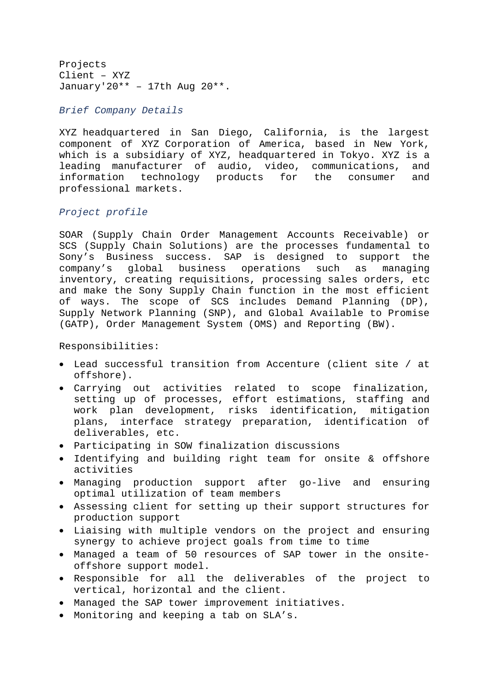Projects Client – XYZ January'20\*\* - 17th Aug  $20***$ .

*Brief Company Details* 

XYZ headquartered in San Diego, California, is the largest component of XYZ Corporation of America, based in New York, which is a subsidiary of XYZ, headquartered in Tokyo. XYZ is a leading manufacturer of audio, video, communications, and information technology products for the consumer and professional markets.

# *Project profile*

SOAR (Supply Chain Order Management Accounts Receivable) or SCS (Supply Chain Solutions) are the processes fundamental to Sony's Business success. SAP is designed to support the company's global business operations such as managing inventory, creating requisitions, processing sales orders, etc and make the Sony Supply Chain function in the most efficient of ways. The scope of SCS includes Demand Planning (DP), Supply Network Planning (SNP), and Global Available to Promise (GATP), Order Management System (OMS) and Reporting (BW).

Responsibilities:

- Lead successful transition from Accenture (client site / at offshore).
- Carrying out activities related to scope finalization, setting up of processes, effort estimations, staffing and work plan development, risks identification, mitigation plans, interface strategy preparation, identification of deliverables, etc.
- Participating in SOW finalization discussions
- Identifying and building right team for onsite & offshore activities
- Managing production support after go-live and ensuring optimal utilization of team members
- Assessing client for setting up their support structures for production support
- Liaising with multiple vendors on the project and ensuring synergy to achieve project goals from time to time
- Managed a team of 50 resources of SAP tower in the onsiteoffshore support model.
- Responsible for all the deliverables of the project to vertical, horizontal and the client.
- Managed the SAP tower improvement initiatives.
- Monitoring and keeping a tab on SLA's.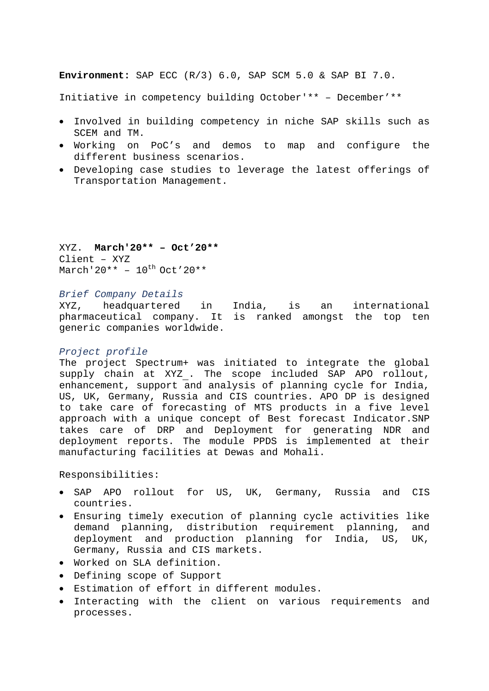**Environment:** SAP ECC (R/3) 6.0, SAP SCM 5.0 & SAP BI 7.0.

Initiative in competency building October'\*\* – December'\*\*

- Involved in building competency in niche SAP skills such as SCEM and TM.
- Working on PoC's and demos to map and configure the different business scenarios.
- Developing case studies to leverage the latest offerings of Transportation Management.

XYZ. **March'20\*\* – Oct'20\*\***  Client – XYZ March'20\*\* -  $10^{th}$  Oct'20\*\*

*Brief Company Details* 

XYZ, headquartered in India, is an international pharmaceutical company. It is ranked amongst the top ten generic companies worldwide.

### *Project profile*

The project Spectrum+ was initiated to integrate the global supply chain at XYZ . The scope included SAP APO rollout, enhancement, support and analysis of planning cycle for India, US, UK, Germany, Russia and CIS countries. APO DP is designed to take care of forecasting of MTS products in a five level approach with a unique concept of Best forecast Indicator.SNP takes care of DRP and Deployment for generating NDR and deployment reports. The module PPDS is implemented at their manufacturing facilities at Dewas and Mohali.

Responsibilities:

- SAP APO rollout for US, UK, Germany, Russia and CIS countries.
- Ensuring timely execution of planning cycle activities like demand planning, distribution requirement planning, and deployment and production planning for India, US, UK, Germany, Russia and CIS markets.
- Worked on SLA definition.
- Defining scope of Support
- Estimation of effort in different modules.
- Interacting with the client on various requirements and processes.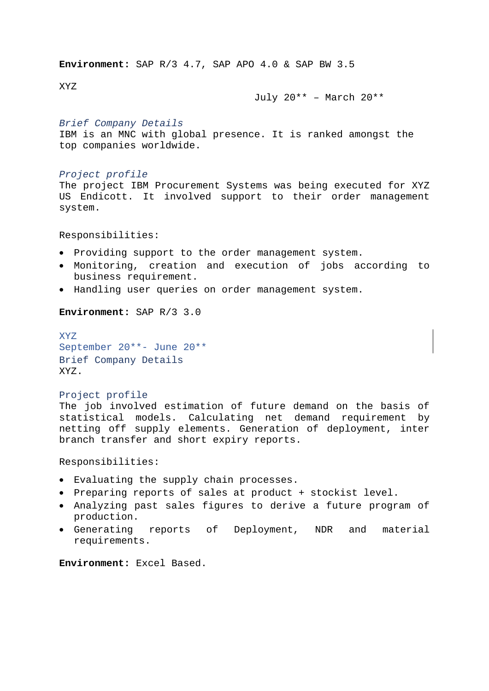**Environment:** SAP R/3 4.7, SAP APO 4.0 & SAP BW 3.5

XYZ

July 20\*\* – March 20\*\*

#### *Brief Company Details*

IBM is an MNC with global presence. It is ranked amongst the top companies worldwide.

### *Project profile*

The project IBM Procurement Systems was being executed for XYZ US Endicott. It involved support to their order management system.

Responsibilities:

- Providing support to the order management system.
- Monitoring, creation and execution of jobs according to business requirement.
- Handling user queries on order management system.

**Environment:** SAP R/3 3.0

XYZ September 20\*\*- June 20\*\* Brief Company Details XYZ.

### Project profile

The iob involved estimation of future demand on the basis of statistical models. Calculating net demand requirement by netting off supply elements. Generation of deployment, inter branch transfer and short expiry reports.

Responsibilities:

- Evaluating the supply chain processes.
- Preparing reports of sales at product + stockist level.
- Analyzing past sales figures to derive a future program of production.
- Generating reports of Deployment, NDR and material requirements.

**Environment:** Excel Based.